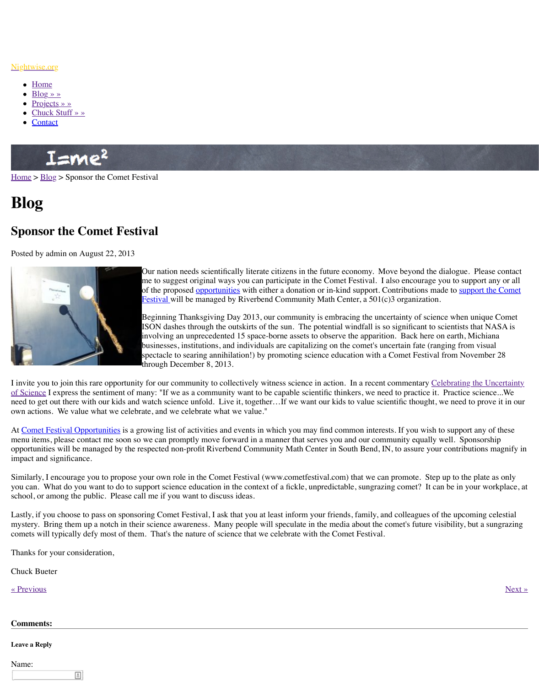

Our nation needs scientifically literate citizens in the future economy. Move beyond the dialogue. Please contact me to suggest original ways you can participate in the of the proposed opportunities with either a donation or Festival will be managed by Riverbend Community N

Beginning Thanksgiving Day 2013, our community is ISON dashes through the outskirts of the sun. The potential windfall is so significant to summary  $\overline{I}$  is  $\overline{I}$  is  $\overline{I}$  is  $\overline{I}$  is  $\overline{I}$  is  $\overline{I}$  is  $\overline{I}$  is  $\overline{I}$  is  $\overline{I}$  is  $\overline{I}$  is  $\overline$ involving an unprecedented 15 space-borne assets to businesses, institutions, and individuals are capitalizing spectacle to searing annihilation!) by promoting scier through December 8, 2013.

I invit[e you to join this](http://www.nightwise.org/chuck-stuff/) rare opportunity for our community to collectively witness science in of Sci[ence I ex](http://www.nightwise.org/contact/)press the sentiment of many: "If we as a community want to be capable scientification need to get out there with our kids and watch science unfold. Live it, together...If we want our own actions. We value what we celebrate, and we celebrate what we value."

At Comet Festival Opportunities is a growing list of activities and events in which you may menu items, please contact me soon so we can promptly move forward in a manner that server [opport](http://www.nightwise.org/)u[nities](http://www.nightwise.org/blog/) will be managed by the respected non-profit Riverbend Community Math Cent impact and significance.

Similarly, I encourage you to propose your own role in the Comet Festival (www.cometfesting you can. What do you want to do to support science education in the context of a fickle, unp school, or among the public. Please call me if you want to discuss ideas.

Lastly, if you choose to pass on sponsoring Comet Festival, I ask that you at least inform you mystery. Bring them up a notch in their science awareness. Many people will speculate in the media about the media about the media about the media about the media about the media about the cometer in the media about a sung comets will typically defy most of them. That's the nature of science that we celebrate with

Thanks for your consideration,

Chuck Bueter

« Previous » Next » Next » Next » Next » Next » Next » Next » Next » Next » Next » Next » Next » Next » Next » Next » Next » Next » Next » Next » Next » Next » Next » Next » Next » Next » Next » Next » Next » Next » Next »

## **Comments:**

**Leave a Reply**

[Name:](http://www.nightwise.org/blog/celebrating-uncertainty-science-2/)

 $\equiv$